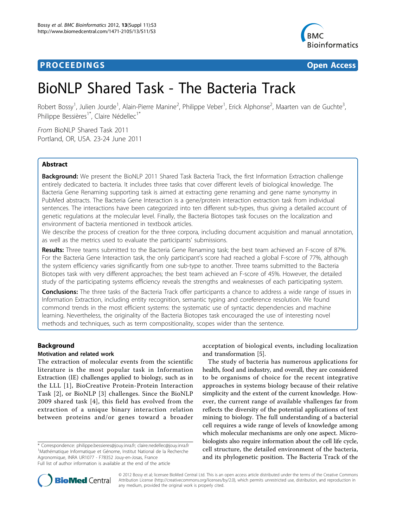## **PROCEEDINGS CONSUMING S** Open Access **CONSUMING S**



# BioNLP Shared Task - The Bacteria Track

Robert Bossy<sup>1</sup>, Julien Jourde<sup>1</sup>, Alain-Pierre Manine<sup>2</sup>, Philippe Veber<sup>1</sup>, Erick Alphonse<sup>2</sup>, Maarten van de Guchte<sup>3</sup> , Philippe Bessières<sup>1\*</sup>, Claire Nédellec<sup>1\*</sup>

From BioNLP Shared Task 2011 Portland, OR, USA. 23-24 June 2011

## Abstract

Background: We present the BioNLP 2011 Shared Task Bacteria Track, the first Information Extraction challenge entirely dedicated to bacteria. It includes three tasks that cover different levels of biological knowledge. The Bacteria Gene Renaming supporting task is aimed at extracting gene renaming and gene name synonymy in PubMed abstracts. The Bacteria Gene Interaction is a gene/protein interaction extraction task from individual sentences. The interactions have been categorized into ten different sub-types, thus giving a detailed account of genetic regulations at the molecular level. Finally, the Bacteria Biotopes task focuses on the localization and environment of bacteria mentioned in textbook articles.

We describe the process of creation for the three corpora, including document acquisition and manual annotation, as well as the metrics used to evaluate the participants' submissions.

Results: Three teams submitted to the Bacteria Gene Renaming task; the best team achieved an F-score of 87%. For the Bacteria Gene Interaction task, the only participant's score had reached a global F-score of 77%, although the system efficiency varies significantly from one sub-type to another. Three teams submitted to the Bacteria Biotopes task with very different approaches; the best team achieved an F-score of 45%. However, the detailed study of the participating systems efficiency reveals the strengths and weaknesses of each participating system.

Conclusions: The three tasks of the Bacteria Track offer participants a chance to address a wide range of issues in Information Extraction, including entity recognition, semantic typing and coreference resolution. We found commond trends in the most efficient systems: the systematic use of syntactic dependencies and machine learning. Nevertheless, the originality of the Bacteria Biotopes task encouraged the use of interesting novel methods and techniques, such as term compositionality, scopes wider than the sentence.

## Background

## Motivation and related work

The extraction of molecular events from the scientific literature is the most popular task in Information Extraction (IE) challenges applied to biology, such as in the LLL [[1\]](#page-13-0), BioCreative Protein-Protein Interaction Task [[2](#page-13-0)], or BioNLP [[3\]](#page-13-0) challenges. Since the BioNLP 2009 shared task [[4](#page-13-0)], this field has evolved from the extraction of a unique binary interaction relation between proteins and/or genes toward a broader

\* Correspondence: [philippe.bessieres@jouy.inra.fr](mailto:philippe.bessieres@jouy.inra.fr); [claire.nedellec@jouy.inra.fr](mailto:claire.nedellec@jouy.inra.fr) <sup>1</sup>Mathématique Informatique et Génome, Institut National de la Recherche Agronomique, INRA UR1077 - F78352 Jouy-en-Josas, France Full list of author information is available at the end of the article

acceptation of biological events, including localization and transformation [[5\]](#page-13-0).

The study of bacteria has numerous applications for health, food and industry, and overall, they are considered to be organisms of choice for the recent integrative approaches in systems biology because of their relative simplicity and the extent of the current knowledge. However, the current range of available vhallenges far from reflects the diversity of the potential applications of text mining to biology. The full understanding of a bacterial cell requires a wide range of levels of knowledge among which molecular mechanisms are only one aspect. Microbiologists also require information about the cell life cycle, cell structure, the detailed environment of the bacteria, and its phylogenetic position. The Bacteria Track of the



© 2012 Bossy et al; licensee BioMed Central Ltd. This is an open access article distributed under the terms of the Creative Commons Attribution License [\(http://creativecommons.org/licenses/by/2.0](http://creativecommons.org/licenses/by/2.0)), which permits unrestricted use, distribution, and reproduction in any medium, provided the original work is properly cited.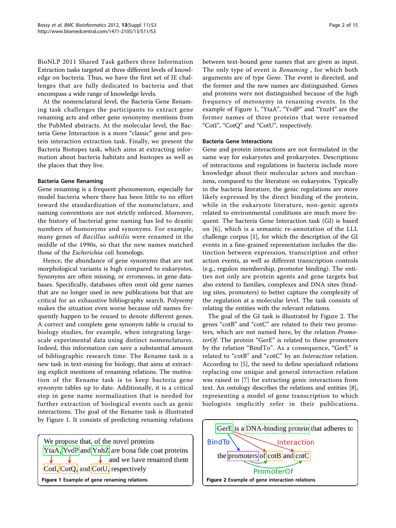<span id="page-1-0"></span>BioNLP 2011 Shared Task gathers three Information Extraction tasks targeted at three different levels of knowledge on bacteria. Thus, we have the first set of IE challenges that are fully dedicated to bacteria and that encompass a wide range of knowledge levels.

At the nomenclatural level, the Bacteria Gene Renaming task challenges the participants to extract gene renaming acts and other gene synonymy mentions from the PubMed abstracts. At the molecular level, the Bacteria Gene Interaction is a more "classic" gene and protein interaction extraction task. Finally, we present the Bacteria Biotopes task, which aims at extracting information about bacteria habitats and biotopes as well as the places that they live.

## Bacteria Gene Renaming

Gene renaming is a frequent phenomenon, especially for model bacteria where there has been little to no effort toward the standardization of the nomenclature, and naming conventions are not strictly enforced. Moreover, the history of bacterial gene naming has led to drastic numbers of homonyms and synonyms. For example, many genes of Bacillus subtilis were renamed in the middle of the 1990s, so that the new names matched those of the Escherichia coli homologs.

Hence, the abundance of gene synonyms that are not morphological variants is high compared to eukaryotes. Synonyms are often missing, or erroneous, in gene databases. Specifically, databases often omit old gene names that are no longer used in new publications but that are critical for an exhaustive bibliography search. Polysemy makes the situation even worse because old names frequently happen to be reused to denote different genes. A correct and complete gene synonym table is crucial to biology studies, for example, when integrating largescale experimental data using distinct nomenclatures. Indeed, this information can save a substantial amount of bibliographic research time. The Rename task is a new task in text-mining for biology, that aims at extracting explicit mentions of renaming relations. The motivation of the Rename task is to keep bacteria gene synonym tables up to date. Additionally, it is a critical step in gene name normalization that is needed for further extraction of biological events such as genic interactions. The goal of the Rename task is illustrated by Figure 1. It consists of predicting renaming relations

We propose that, of the novel proteins YtaA, YvdPand YnhZ are bona fide coat proteins and we have renamed them CotI, CotQ, and CotU, respectively

between text-bound gene names that are given as input. The only type of event is *Renaming*, for which both arguments are of type Gene. The event is directed, and the former and the new names are distinguished. Genes and proteins were not distinguished because of the high frequency of metonymy in renaming events. In the example of Figure 1, "YtaA", "YvdP" and "YnzH" are the former names of three proteins that were renamed "CotI", "CotQ" and "CotU", respectively.

## Bacteria Gene Interactions

Gene and protein interactions are not formulated in the same way for eukaryotes and prokaryotes. Descriptions of interactions and regulations in bacteria include more knowledge about their molecular actors and mechanisms, compared to the literature on eukaryotes. Typically in the bacteria literature, the genic regulations are more likely expressed by the direct binding of the protein, while in the eukaryote literature, non-genic agents related to environmental conditions are much more frequent. The bacteria Gene Interaction task (GI) is based on [[6](#page-13-0)], which is a semantic re-annotation of the LLL challenge corpus [[1\]](#page-13-0), for which the description of the GI events in a fine-grained representation includes the distinction between expression, transcription and other action events, as well as different transcription controls (e.g., regulon membership, promoter binding). The entities not only are protein agents and gene targets but also extend to families, complexes and DNA sites (binding sites, promoters) to better capture the complexity of the regulation at a molecular level. The task consists of relating the entities with the relevant relations.

The goal of the GI task is illustrated by Figure 2. The genes "cotB" and "cotC" are related to their two promoters, which are not named here, by the relation PromoterOf. The protein "GerE" is related to these promoters by the relation "BindTo". As a consequence, "GerE" is related to "cotB" and "cotC" by an Interaction relation. According to [[5\]](#page-13-0), the need to define specialized relations replacing one unique and general interaction relation was raised in [[7\]](#page-13-0) for extracting genic interactions from text. An ontology describes the relations and entities [\[8](#page-13-0)], representing a model of gene transcription to which biologists implicitly refer in their publications.

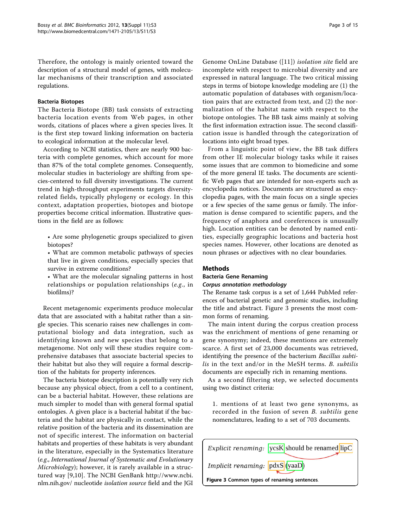Therefore, the ontology is mainly oriented toward the description of a structural model of genes, with molecular mechanisms of their transcription and associated regulations.

## Bacteria Biotopes

The Bacteria Biotope (BB) task consists of extracting bacteria location events from Web pages, in other words, citations of places where a given species lives. It is the first step toward linking information on bacteria to ecological information at the molecular level.

According to NCBI statistics, there are nearly 900 bacteria with complete genomes, which account for more than 87% of the total complete genomes. Consequently, molecular studies in bacteriology are shifting from species-centered to full diversity investigations. The current trend in high-throughput experiments targets diversityrelated fields, typically phylogeny or ecology. In this context, adaptation properties, biotopes and biotope properties become critical information. Illustrative questions in the field are as follows:

- Are some phylogenetic groups specialized to given biotopes?
- What are common metabolic pathways of species that live in given conditions, especially species that survive in extreme conditions?
- What are the molecular signaling patterns in host relationships or population relationships (e.g., in biofilms)?

Recent metagenomic experiments produce molecular data that are associated with a habitat rather than a single species. This scenario raises new challenges in computational biology and data integration, such as identifying known and new species that belong to a metagenome. Not only will these studies require comprehensive databases that associate bacterial species to their habitat but also they will require a formal description of the habitats for property inferences.

The bacteria biotope description is potentially very rich because any physical object, from a cell to a continent, can be a bacterial habitat. However, these relations are much simpler to model than with general formal spatial ontologies. A given place is a bacterial habitat if the bacteria and the habitat are physically in contact, while the relative position of the bacteria and its dissemination are not of specific interest. The information on bacterial habitats and properties of these habitats is very abundant in the literature, especially in the Systematics literature (e.g., International Journal of Systematic and Evolutionary Microbiology); however, it is rarely available in a structured way [[9,10](#page-13-0)]. The NCBI GenBank [http://www.ncbi.](http://www.ncbi.nlm.nih.gov/) [nlm.nih.gov/](http://www.ncbi.nlm.nih.gov/) nucleotide isolation source field and the JGI

Genome OnLine Database ([[11](#page-13-0)]) isolation site field are incomplete with respect to microbial diversity and are expressed in natural language. The two critical missing steps in terms of biotope knowledge modeling are (1) the automatic population of databases with organism/location pairs that are extracted from text, and (2) the normalization of the habitat name with respect to the biotope ontologies. The BB task aims mainly at solving the first information extraction issue. The second classification issue is handled through the categorization of locations into eight broad types.

From a linguistic point of view, the BB task differs from other IE molecular biology tasks while it raises some issues that are common to biomedicine and some of the more general IE tasks. The documents are scientific Web pages that are intended for non-experts such as encyclopedia notices. Documents are structured as encyclopedia pages, with the main focus on a single species or a few species of the same genus or family. The information is dense compared to scientific papers, and the frequency of anaphora and coreferences is unusually high. Location entities can be denoted by named entities, especially geographic locations and bacteria host species names. However, other locations are denoted as noun phrases or adjectives with no clear boundaries.

## Methods

## Bacteria Gene Renaming

## Corpus annotation methodology

The Rename task corpus is a set of 1,644 PubMed references of bacterial genetic and genomic studies, including the title and abstract. Figure 3 presents the most common forms of renaming.

The main intent during the corpus creation process was the enrichment of mentions of gene renaming or gene synonymy; indeed, these mentions are extremely scarce. A first set of 23,000 documents was retrieved, identifying the presence of the bacterium Bacillus subtilis in the text and/or in the MeSH terms. B. subtilis documents are especially rich in renaming mentions.

As a second filtering step, we selected documents using two distinct criteria:

1. mentions of at least two gene synonyms, as recorded in the fusion of seven B. subtilis gene nomenclatures, leading to a set of 703 documents.

| Explicit renaming: ycsK should be renamed lipC |
|------------------------------------------------|
| Implicit renaming: pdxS (yaaD)                 |
| Figure 3 Common types of renaming sentences.   |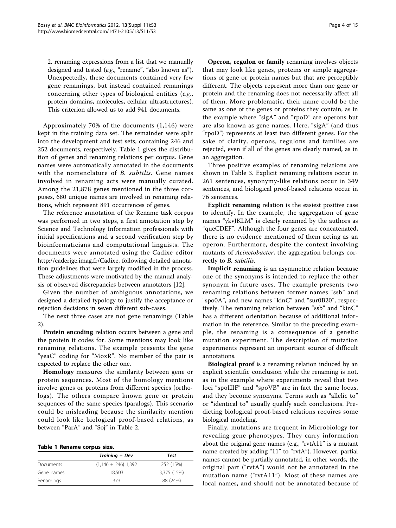2. renaming expressions from a list that we manually designed and tested (e.g., "rename", "also known as"). Unexpectedly, these documents contained very few gene renamings, but instead contained renamings concerning other types of biological entities (e.g., protein domains, molecules, cellular ultrastructures). This criterion allowed us to add 941 documents.

Approximately 70% of the documents (1,146) were kept in the training data set. The remainder were split into the development and test sets, containing 246 and 252 documents, respectively. Table 1 gives the distribution of genes and renaming relations per corpus. Gene names were automatically annotated in the documents with the nomenclature of B. subtilis. Gene names involved in renaming acts were manually curated. Among the 21,878 genes mentioned in the three corpuses, 680 unique names are involved in renaming relations, which represent 891 occurrences of genes.

The reference annotation of the Rename task corpus was performed in two steps, a first annotation step by Science and Technology Information professionals with initial specifications and a second verification step by bioinformaticians and computational linguists. The documents were annotated using the Cadixe editor <http://caderige.imag.fr/Cadixe>, following detailed annotation guidelines that were largely modified in the process. These adjustments were motivated by the manual analysis of observed discrepancies between annotators [\[12](#page-13-0)].

Given the number of ambiguous annotations, we designed a detailed typology to justify the acceptance or rejection decisions in seven different sub-cases.

The next three cases are not gene renamings (Table [2\)](#page-4-0).

Protein encoding relation occurs between a gene and the protein it codes for. Some mentions may look like renaming relations. The example presents the gene "yeaC" coding for "MoxR". No member of the pair is expected to replace the other one.

Homology measures the similarity between gene or protein sequences. Most of the homology mentions involve genes or proteins from different species (orthologs). The others compare known gene or protein sequences of the same species (paralogs). This scenario could be misleading because the similarity mention could look like biological proof-based relations, as between "ParA" and "Soj" in Table [2.](#page-4-0)

|  | Table 1 Rename corpus size. |  |
|--|-----------------------------|--|
|  |                             |  |

|            | Training + Dev.       | Test        |
|------------|-----------------------|-------------|
| Documents  | $(1.146 + 246)$ 1.392 | 252 (15%)   |
| Gene names | 18.503                | 3,375 (15%) |
| Renamings  | 373                   | 88 (24%)    |

Operon, regulon or family renaming involves objects that may look like genes, proteins or simple aggregations of gene or protein names but that are perceptibly different. The objects represent more than one gene or protein and the renaming does not necessarily affect all of them. More problematic, their name could be the same as one of the genes or proteins they contain, as in the example where "sigA" and "rpoD" are operons but are also known as gene names. Here, "sigA" (and thus "rpoD") represents at least two different genes. For the sake of clarity, operons, regulons and families are rejected, even if all of the genes are clearly named, as in an aggregation.

Three positive examples of renaming relations are shown in Table [3](#page-4-0). Explicit renaming relations occur in 261 sentences, synonymy-like relations occur in 349 sentences, and biological proof-based relations occur in 76 sentences.

Explicit renaming relation is the easiest positive case to identify. In the example, the aggregation of gene names "ykvJKLM" is clearly renamed by the authors as "queCDEF". Although the four genes are concatenated, there is no evidence mentioned of them acting as an operon. Furthermore, despite the context involving mutants of Acinetobacter, the aggregation belongs correctly to B. subtilis.

Implicit renaming is an asymmetric relation because one of the synonyms is intended to replace the other synonym in future uses. The example presents two renaming relations between former names "ssb" and "spo0A", and new names "kinC" and "sur0B20", respectively. The renaming relation between "ssb" and "kinC" has a different orientation because of additional information in the reference. Similar to the preceding example, the renaming is a consequence of a genetic mutation experiment. The description of mutation experiments represent an important source of difficult annotations.

Biological proof is a renaming relation induced by an explicit scientific conclusion while the renaming is not, as in the example where experiments reveal that two loci "spoIIIF" and "spoVB" are in fact the same locus, and they become synonyms. Terms such as "allelic to" or "identical to" usually qualify such conclusions. Predicting biological proof-based relations requires some biological modeling.

Finally, mutations are frequent in Microbiology for revealing gene phenotypes. They carry information about the original gene names (e.g., "rvtA11" is a mutant name created by adding "11" to "rvtA"). However, partial names cannot be partially annotated, in other words, the original part ("rvtA") would not be annotated in the mutation name ("rvtA11"). Most of these names are local names, and should not be annotated because of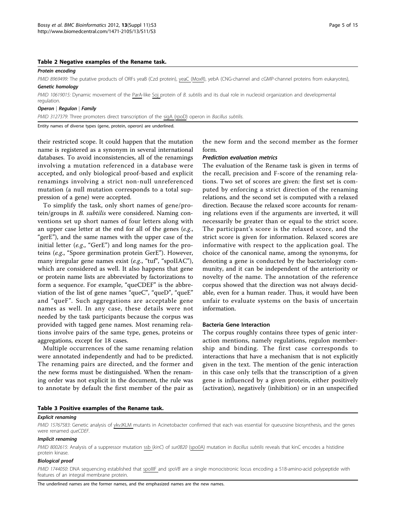#### <span id="page-4-0"></span>Table 2 Negative examples of the Rename task.

#### Protein encoding

PMID 8969499: The putative products of ORFs yeaB (Czd protein), yeaC (MoxR), yebA (CNG-channel and cGMP-channel proteins from eukaryotes), Genetic homology

PMID 10619015: Dynamic movement of the ParA-like Soj protein of B. subtilis and its dual role in nucleoid organization and developmental regulation.

#### Operon | Regulon | Family

PMID 3127379: Three promoters direct transcription of the sigA (rpoD) operon in Bacillus subtilis.

Entity names of diverse types (gene, protein, operon) are underlined.

their restricted scope. It could happen that the mutation name is registered as a synonym in several international databases. To avoid inconsistencies, all of the renamings involving a mutation referenced in a database were accepted, and only biological proof-based and explicit renamings involving a strict non-null unreferenced mutation (a null mutation corresponds to a total suppression of a gene) were accepted.

To simplify the task, only short names of gene/protein/groups in B. subtilis were considered. Naming conventions set up short names of four letters along with an upper case letter at the end for all of the genes (e.g., "gerE"), and the same names with the upper case of the initial letter (e.g., "GerE") and long names for the proteins (e.g., "Spore germination protein GerE"). However, many irregular gene names exist (e.g., "tuf", "spoIIAC"), which are considered as well. It also happens that gene or protein name lists are abbreviated by factorizations to form a sequence. For example, "queCDEF" is the abbreviation of the list of gene names "queC", "queD", "queE" and "queF". Such aggregations are acceptable gene names as well. In any case, these details were not needed by the task participants because the corpus was provided with tagged gene names. Most renaming relations involve pairs of the same type, genes, proteins or aggregations, except for 18 cases.

Multiple occurrences of the same renaming relation were annotated independently and had to be predicted. The renaming pairs are directed, and the former and the new forms must be distinguished. When the renaming order was not explicit in the document, the rule was to annotate by default the first member of the pair as the new form and the second member as the former form.

#### Prediction evaluation metrics

The evaluation of the Rename task is given in terms of the recall, precision and F-score of the renaming relations. Two set of scores are given: the first set is computed by enforcing a strict direction of the renaming relations, and the second set is computed with a relaxed direction. Because the relaxed score accounts for renaming relations even if the arguments are inverted, it will necessarily be greater than or equal to the strict score. The participant's score is the relaxed score, and the strict score is given for information. Relaxed scores are informative with respect to the application goal. The choice of the canonical name, among the synonyms, for denoting a gene is conducted by the bacteriology community, and it can be independent of the anteriority or novelty of the name. The annotation of the reference corpus showed that the direction was not always decidable, even for a human reader. Thus, it would have been unfair to evaluate systems on the basis of uncertain information.

#### Bacteria Gene Interaction

The corpus roughly contains three types of genic interaction mentions, namely regulations, regulon membership and binding. The first case corresponds to interactions that have a mechanism that is not explicitly given in the text. The mention of the genic interaction in this case only tells that the transcription of a given gene is influenced by a given protein, either positively (activation), negatively (inhibition) or in an unspecified

#### Table 3 Positive examples of the Rename task.

#### Explicit renaming

PMID 15767583: Genetic analysis of ykvJKLM mutants in Acinetobacter confirmed that each was essential for queuosine biosynthesis, and the genes were renamed queCDEF.

#### Implicit renaming

PMID 8002615: Analysis of a suppressor mutation ssb (kinC) of sur0B20 (spo0A) mutation in Bacillus subtilis reveals that kinC encodes a histidine protein kinase.

#### Biological proof

PMID 1744050: DNA sequencing established that spollIF and spoVB are a single monocistronic locus encoding a 518-amino-acid polypeptide with features of an integral membrane protein.

The underlined names are the former names, and the emphasized names are the new names.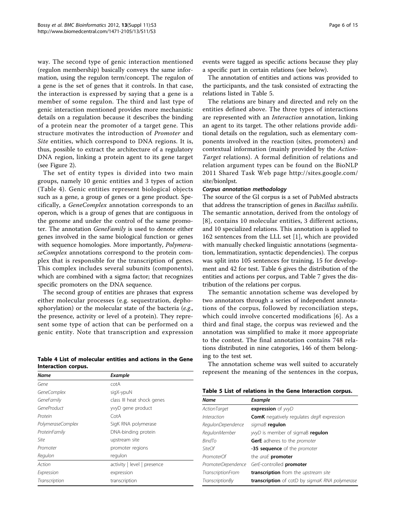way. The second type of genic interaction mentioned (regulon membership) basically conveys the same information, using the regulon term/concept. The regulon of a gene is the set of genes that it controls. In that case, the interaction is expressed by saying that a gene is a member of some regulon. The third and last type of genic interaction mentioned provides more mechanistic details on a regulation because it describes the binding of a protein near the promoter of a target gene. This structure motivates the introduction of Promoter and Site entities, which correspond to DNA regions. It is, thus, possible to extract the architecture of a regulatory DNA region, linking a protein agent to its gene target (see Figure [2](#page-1-0)).

The set of entity types is divided into two main groups, namely 10 genic entities and 3 types of action (Table 4). Genic entities represent biological objects such as a gene, a group of genes or a gene product. Specifically, a GeneComplex annotation corresponds to an operon, which is a group of genes that are contiguous in the genome and under the control of the same promoter. The annotation GeneFamily is used to denote either genes involved in the same biological function or genes with sequence homologies. More importantly, PolymeraseComplex annotations correspond to the protein complex that is responsible for the transcription of genes. This complex includes several subunits (components), which are combined with a sigma factor; that recognizes specific promoters on the DNA sequence.

The second group of entities are phrases that express either molecular processes (e.g. sequestration, dephosphorylation) or the molecular state of the bacteria (e.g., the presence, activity or level of a protein). They represent some type of action that can be performed on a genic entity. Note that transcription and expression

Table 4 List of molecular entities and actions in the Gene Interaction corpus.

| <b>Name</b>        | Example                     |  |  |
|--------------------|-----------------------------|--|--|
| Gene               | cotA                        |  |  |
| <b>GeneComplex</b> | sigX-ypuN                   |  |  |
| GeneFamily         | class III heat shock genes  |  |  |
| GeneProduct        | yvyD gene product           |  |  |
| Protein            | CotA                        |  |  |
| PolymeraseComplex  | SigK RNA polymerase         |  |  |
| ProteinFamily      | DNA-binding protein         |  |  |
| Site               | upstream site               |  |  |
| Promoter           | promoter regions            |  |  |
| Regulon            | regulon                     |  |  |
| Action             | activity   level   presence |  |  |
| Expression         | expression                  |  |  |
| Transcription      | transcription               |  |  |

events were tagged as specific actions because they play a specific part in certain relations (see below).

The annotation of entities and actions was provided to the participants, and the task consisted of extracting the relations listed in Table 5.

The relations are binary and directed and rely on the entities defined above. The three types of interactions are represented with an *Interaction* annotation, linking an agent to its target. The other relations provide additional details on the regulation, such as elementary components involved in the reaction (sites, promoters) and contextual information (mainly provided by the Action-Target relations). A formal definition of relations and relation argument types can be found on the BioNLP 2011 Shared Task Web page [http://sites.google.com/](http://sites.google.com/site/bionlpst) [site/bionlpst.](http://sites.google.com/site/bionlpst)

#### Corpus annotation methodology

The source of the GI corpus is a set of PubMed abstracts that address the transcription of genes in Bacillus subtilis. The semantic annotation, derived from the ontology of [[8](#page-13-0)], contains 10 molecular entities, 3 different actions, and 10 specialized relations. This annotation is applied to 162 sentences from the LLL set [[1](#page-13-0)], which are provided with manually checked linguistic annotations (segmentation, lemmatization, syntactic dependencies). The corpus was split into 105 sentences for training, 15 for development and 42 for test. Table [6](#page-6-0) gives the distribution of the entities and actions per corpus, and Table [7](#page-6-0) gives the distribution of the relations per corpus.

The semantic annotation scheme was developed by two annotators through a series of independent annotations of the corpus, followed by reconciliation steps, which could involve concerted modifications [[6](#page-13-0)]. As a third and final stage, the corpus was reviewed and the annotation was simplified to make it more appropriate to the contest. The final annotation contains 748 relations distributed in nine categories, 146 of them belonging to the test set.

The annotation scheme was well suited to accurately represent the meaning of the sentences in the corpus,

| Name               | Example                                                 |
|--------------------|---------------------------------------------------------|
| ActionTarget       | expression of yvyD                                      |
| Interaction        | <b>ComK</b> negatively regulates <i>degR</i> expression |
| RegulonDependence  | sigmaB regulon                                          |
| RegulonMember      | yvyD is member of sigmaB regulon                        |
| BindTo             | GerE adheres to the promoter                            |
| SiteOf             | -35 sequence of the promoter                            |
| PromoterOf         | the araE <b>promoter</b>                                |
| PromoterDependence | GerE-controlled promoter                                |
| TranscriptionFrom  | transcription from the upstream site                    |
| TranscriptionBy    | <b>transcription</b> of cotD by sigmaK RNA polymerase   |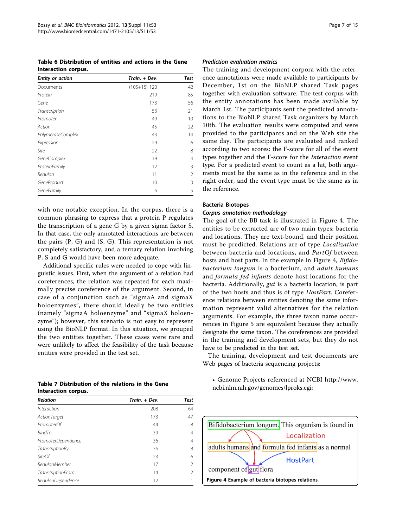<span id="page-6-0"></span>Table 6 Distribution of entities and actions in the Gene Interaction corpus.

| <b>Entity or action</b> | Train. + Dev.  | Test           |
|-------------------------|----------------|----------------|
| Documents               | $(105+15)$ 120 | 42             |
| Protein                 | 219            | 85             |
| Gene                    | 173            | 56             |
| Transcription           | 53             | 21             |
| Promoter                | 49             | 10             |
| Action                  | 45             | 22             |
| PolymeraseComplex       | 43             | 14             |
| Expression              | 29             | 6              |
| Site                    | 22             | 8              |
| <b>GeneComplex</b>      | 19             | $\overline{4}$ |
| ProteinFamily           | 12             | 3              |
| Regulon                 | 11             | 2              |
| GeneProduct             | 10             | 3              |
| GeneFamily              | 6              | 5              |

with one notable exception. In the corpus, there is a common phrasing to express that a protein P regulates the transcription of a gene G by a given sigma factor S. In that case, the only annotated interactions are between the pairs (P, G) and (S, G). This representation is not completely satisfactory, and a ternary relation involving P, S and G would have been more adequate.

Additional specific rules were needed to cope with linguistic issues. First, when the argument of a relation had coreferences, the relation was repeated for each maximally precise coreference of the argument. Second, in case of a conjunction such as "sigmaA and sigmaX holoenzymes", there should ideally be two entities (namely "sigmaA holoenzyme" and "sigmaX holoenzyme"); however, this scenario is not easy to represent using the BioNLP format. In this situation, we grouped the two entities together. These cases were rare and were unlikely to affect the feasibility of the task because entities were provided in the test set.

#### Prediction evaluation metrics

The training and development corpora with the reference annotations were made available to participants by December, 1st on the BioNLP shared Task pages together with evaluation software. The test corpus with the entity annotations has been made available by March 1st. The participants sent the predicted annotations to the BioNLP shared Task organizers by March 10th. The evaluation results were computed and were provided to the participants and on the Web site the same day. The participants are evaluated and ranked according to two scores: the F-score for all of the event types together and the F-score for the Interaction event type. For a predicted event to count as a hit, both arguments must be the same as in the reference and in the right order, and the event type must be the same as in the reference.

## Bacteria Biotopes

#### Corpus annotation methodology

The goal of the BB task is illustrated in Figure 4. The entities to be extracted are of two main types: bacteria and locations. They are text-bound, and their position must be predicted. Relations are of type Localization between bacteria and locations, and PartOf between hosts and host parts. In the example in Figure 4, Bifidobacterium longum is a bacterium, and adult humans and formula fed infants denote host locations for the bacteria. Additionally, gut is a bacteria location, is part of the two hosts and thus is of type HostPart. Coreference relations between entities denoting the same information represent valid alternatives for the relation arguments. For example, the three taxon name occurrences in Figure [5](#page-7-0) are equivalent because they actually designate the same taxon. The coreferences are provided in the training and development sets, but they do not have to be predicted in the test set.

The training, development and test documents are Web pages of bacteria sequencing projects:

• Genome Projects referenced at NCBI [http://www.](http://www.ncbi.nlm.nih.gov/genomes/lproks.cgi) [ncbi.nlm.nih.gov/genomes/lproks.cgi;](http://www.ncbi.nlm.nih.gov/genomes/lproks.cgi)

| <b>Relation</b>    | Train. + Dev. | <b>Test</b>    |
|--------------------|---------------|----------------|
| Interaction        | 208           | 64             |
| ActionTarget       | 173           | 47             |
| PromoterOf         | 44            | 8              |
| BindTo             | 39            | $\overline{4}$ |
| PromoterDependence | 36            | $\overline{4}$ |
| TranscriptionBy    | 36            | 8              |
| SiteOf             | 23            | 6              |
| RegulonMember      | 17            | $\mathfrak{D}$ |
| TranscriptionFrom  | 14            | $\mathfrak{D}$ |
| RequlonDependence  | 12            |                |

Table 7 Distribution of the relations in the Gene

Interaction corpus.

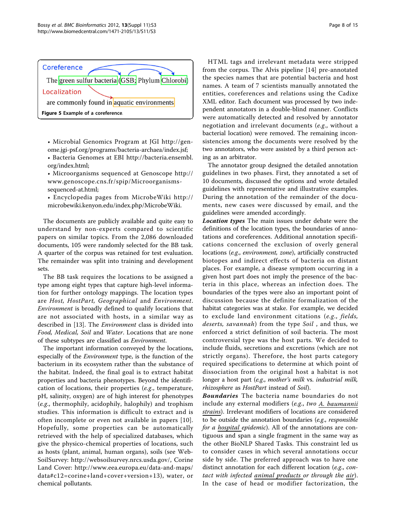<span id="page-7-0"></span>

• Microbial Genomics Program at JGI [http://gen](http://genome.jgi-psf.org/programs/bacteria-archaea/index.jsf)[ome.jgi-psf.org/programs/bacteria-archaea/index.jsf;](http://genome.jgi-psf.org/programs/bacteria-archaea/index.jsf)

- Bacteria Genomes at EBI [http://bacteria.ensembl.](http://bacteria.ensembl.org/index.html) [org/index.html](http://bacteria.ensembl.org/index.html);
- Microorganisms sequenced at Genoscope [http://](http://www.genoscope.cns.fr/spip/Microorganisms-sequenced-at.html) [www.genoscope.cns.fr/spip/Microorganisms](http://www.genoscope.cns.fr/spip/Microorganisms-sequenced-at.html)[sequenced-at.html](http://www.genoscope.cns.fr/spip/Microorganisms-sequenced-at.html);
- Encyclopedia pages from MicrobeWiki [http://](http://microbewiki.kenyon.edu/index.php/MicrobeWiki) [microbewiki.kenyon.edu/index.php/MicrobeWiki](http://microbewiki.kenyon.edu/index.php/MicrobeWiki).

The documents are publicly available and quite easy to understand by non-experts compared to scientific papers on similar topics. From the 2,086 downloaded documents, 105 were randomly selected for the BB task. A quarter of the corpus was retained for test evaluation. The remainder was split into training and development sets.

The BB task requires the locations to be assigned a type among eight types that capture high-level information for further ontology mappings. The location types are Host, HostPart, Geographical and Environment. Environment is broadly defined to qualify locations that are not associated with hosts, in a similar way as described in [[13\]](#page-14-0). The Environment class is divided into Food, Medical, Soil and Water. Locations that are none of these subtypes are classified as Environment.

The important information conveyed by the locations, especially of the Environment type, is the function of the bacterium in its ecosystem rather than the substance of the habitat. Indeed, the final goal is to extract habitat properties and bacteria phenotypes. Beyond the identification of locations, their properties (e.g., temperature, pH, salinity, oxygen) are of high interest for phenotypes (e.g., thermophily, acidophily, halophily) and trophism studies. This information is difficult to extract and is often incomplete or even not available in papers [[10\]](#page-13-0). Hopefully, some properties can be automatically retrieved with the help of specialized databases, which give the physico-chemical properties of locations, such as hosts (plant, animal, human organs), soils (see Web-SoilSurvey:<http://websoilsurvey.nrcs.usda.gov/>, Corine Land Cover: [http://www.eea.europa.eu/data-and-maps/](http://www.eea.europa.eu/data-and-maps/data#c12=corine+land+cover+version+13) [data#c12=corine+land+cover+version+13\)](http://www.eea.europa.eu/data-and-maps/data#c12=corine+land+cover+version+13), water, or chemical pollutants.

HTML tags and irrelevant metadata were stripped from the corpus. The Alvis pipeline [[14](#page-14-0)] pre-annotated the species names that are potential bacteria and host names. A team of 7 scientists manually annotated the entities, coreferences and relations using the Cadixe XML editor. Each document was processed by two independent annotators in a double-blind manner. Conflicts were automatically detected and resolved by annotator negotiation and irrelevant documents (e.g., without a bacterial location) were removed. The remaining inconsistencies among the documents were resolved by the two annotators, who were assisted by a third person acting as an arbitrator.

The annotator group designed the detailed annotation guidelines in two phases. First, they annotated a set of 10 documents, discussed the options and wrote detailed guidelines with representative and illustrative examples. During the annotation of the remainder of the documents, new cases were discussed by email, and the guidelines were amended accordingly.

Location types The main issues under debate were the definitions of the location types, the boundaries of annotations and coreferences. Additional annotation specifications concerned the exclusion of overly general locations (*e.g., environment, zone*), artificially constructed biotopes and indirect effects of bacteria on distant places. For example, a disease symptom occurring in a given host part does not imply the presence of the bacteria in this place, whereas an infection does. The boundaries of the types were also an important point of discussion because the definite formalization of the habitat categories was at stake. For example, we decided to exclude land environment citations (e.g., fields, deserts, savannah) from the type Soil, and thus, we enforced a strict definition of soil bacteria. The most controversial type was the host parts. We decided to include fluids, secretions and excretions (which are not strictly organs). Therefore, the host parts category required specifications to determine at which point of dissociation from the original host a habitat is not longer a host part (e.g., mother's milk vs. industrial milk, rhizosphere as HostPart instead of Soil).

Boundaries The bacteria name boundaries do not include any external modifiers (e.g., two A. baumannii strains). Irrelevant modifiers of locations are considered to be outside the annotation boundaries (e.g., responsible for a hospital epidemic). All of the annotations are contiguous and span a single fragment in the same way as the other BioNLP Shared Tasks. This constraint led us to consider cases in which several annotations occur side by side. The preferred approach was to have one distinct annotation for each different location (e.g., contact with infected *animal products* or through the *air*). In the case of head or modifier factorization, the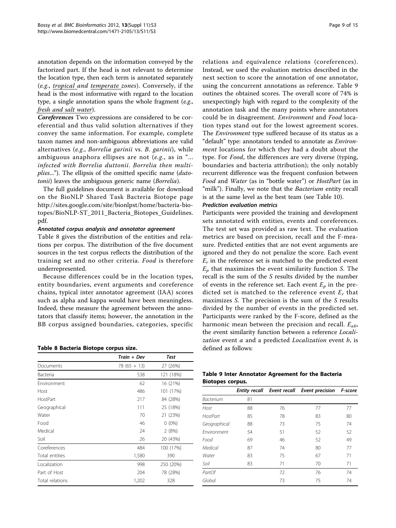annotation depends on the information conveyed by the factorized part. If the head is not relevant to determine the location type, then each term is annotated separately (e.g., tropical and temperate zones). Conversely, if the head is the most informative with regard to the location type, a single annotation spans the whole fragment (e.g., fresh and salt water).

Coreferences Two expressions are considered to be coreferential and thus valid solution alternatives if they convey the same information. For example, complete taxon names and non-ambiguous abbreviations are valid alternatives (e.g., Borrelia garinii vs. B. garinii), while ambiguous anaphora ellipses are not (e.g., as in "... infected with Borrelia duttonii. Borrelia then multiplies..."). The ellipsis of the omitted specific name (dutotonii) leaves the ambiguous generic name (Borrelia).

The full guidelines document is available for download on the BioNLP Shared Task Bacteria Biotope page [http://sites.google.com/site/bionlpst/home/bacteria-bio](http://sites.google.com/site/bionlpst/home/bacteria-biotopes/BioNLP-ST_2011_Bacteria_Biotopes_Guidelines.pdf)[topes/BioNLP-ST\\_2011\\_Bacteria\\_Biotopes\\_Guidelines.](http://sites.google.com/site/bionlpst/home/bacteria-biotopes/BioNLP-ST_2011_Bacteria_Biotopes_Guidelines.pdf) [pdf.](http://sites.google.com/site/bionlpst/home/bacteria-biotopes/BioNLP-ST_2011_Bacteria_Biotopes_Guidelines.pdf)

#### Annotated corpus analysis and annotator agreement

Table 8 gives the distribution of the entities and relations per corpus. The distribution of the five document sources in the test corpus reflects the distribution of the training set and no other criteria. Food is therefore underrepresented.

Because differences could be in the location types, entity boundaries, event arguments and coreference chains, typical inter annotator agreement (IAA) scores such as alpha and kappa would have been meaningless. Indeed, these measure the agreement between the annotators that classify items; however, the annotation in the BB corpus assigned boundaries, categories, specific

|  | Table 8 Bacteria Biotope corpus size. |  |  |
|--|---------------------------------------|--|--|

|                 | Train + Dev   | <b>Test</b> |
|-----------------|---------------|-------------|
| Documents       | $78(65 + 13)$ | 27 (26%)    |
| Bacteria        | 538           | 121 (18%)   |
| Fnvironment     | 62            | 16 (21%)    |
| Host            | 486           | 101 (17%)   |
| <b>HostPart</b> | 217           | 84 (28%)    |
| Geographical    | 111           | 25 (18%)    |
| Water           | 70            | 21 (23%)    |
| Food            | 46            | $0(0\%)$    |
| Medical         | 24            | 2(8%)       |
| Soil            | 26            | 20 (43%)    |
| Coreferences    | 484           | 100 (17%)   |
| Total entities  | 1,580         | 390         |
| Localization    | 998           | 250 (20%)   |
| Part of Host    | 204           | 78 (28%)    |
| Total relations | 1,202         | 328         |

relations and equivalence relations (coreferences). Instead, we used the evaluation metrics described in the next section to score the annotation of one annotator, using the concurrent annotations as reference. Table 9 outines the obtained scores. The overall score of 74% is unexpectingly high with regard to the complexity of the annotation task and the many points where annotators could be in disagreement. Environment and Food location types stand out for the lowest agreement scores. The *Environment* type suffered because of its status as a "default" type: annotators tended to annotate as *Environ*ment locations for which they had a doubt about the type. For Food, the differences are very diverse (typing, boundaries and bacteria attribution); the only notably recurrent difference was the frequent confusion between Food and Water (as in "bottle water") or HostPart (as in "milk"). Finally, we note that the Bacterium entity recall is at the same level as the best team (see Table [10\)](#page-9-0).

## Prediction evaluation metrics

Participants were provided the training and development sets annotated with entities, events and coreferences. The test set was provided as raw text. The evaluation metrics are based on precision, recall and the F-measure. Predicted entities that are not event arguments are ignored and they do not penalize the score. Each event  $E_r$  in the reference set is matched to the predicted event  $E<sub>n</sub>$  that maximizes the event similarity function S. The recall is the sum of the S results divided by the number of events in the reference set. Each event  $E_p$  in the predicted set is matched to the reference event  $E_r$  that maximizes S. The precision is the sum of the S results divided by the number of events in the predicted set. Participants were ranked by the F-score, defined as the harmonic mean between the precision and recall.  $E_{ab}$ , the event similarity function between a reference Localization event a and a predicted Localization event b, is defined as follows:

| Table 9 Inter Annotator Agreement for the Bacteria |  |
|----------------------------------------------------|--|
| Biotopes corpus.                                   |  |

|                  | <b>Entity recall</b> |    | Event recall Event precision | F-score |
|------------------|----------------------|----|------------------------------|---------|
| <b>Bacterium</b> | 81                   |    |                              |         |
| Host             | 88                   | 76 | 77                           | 77      |
| HostPart         | 85                   | 78 | 83                           | 80      |
| Geographical     | 88                   | 73 | 75                           | 74      |
| Fnvironment      | 54                   | 51 | 52                           | 52      |
| Food             | 69                   | 46 | 52                           | 49      |
| Medical          | 87                   | 74 | 80                           | 77      |
| Water            | 83                   | 75 | 67                           | 71      |
| Soil             | 83                   | 71 | 70                           | 71      |
| PartOf           |                      | 72 | 76                           | 74      |
| Global           |                      | 73 | 75                           | 74      |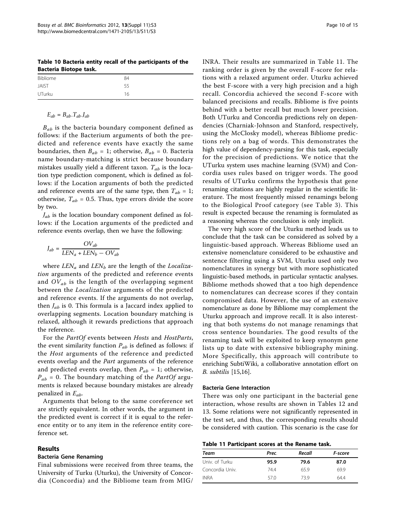<span id="page-9-0"></span>Table 10 Bacteria entity recall of the participants of the Bacteria Biotope task.

| Bibliome     | 84 |
|--------------|----|
| <b>JAIST</b> | 55 |
| UTurku       | 16 |

$$
E_{ab} = B_{ab}.T_{ab}.J_{ab}
$$

 $B_{ab}$  is the bacteria boundary component defined as follows: if the Bacterium arguments of both the predicted and reference events have exactly the same boundaries, then  $B_{ab} = 1$ ; otherwise,  $B_{ab} = 0$ . Bacteria name boundary-matching is strict because boundary mistakes usually yield a different taxon.  $T_{ab}$  is the location type prediction component, which is defined as follows: if the Location arguments of both the predicted and reference events are of the same type, then  $T_{ab} = 1$ ; otherwise,  $T_{ab}$  = 0.5. Thus, type errors divide the score by two.

 $J_{ab}$  is the location boundary component defined as follows: if the Location arguments of the predicted and reference events overlap, then we have the following:

$$
J_{ab} = \frac{OV_{ab}}{LEN_a + LEN_b - OV_{ab}}
$$

where  $LEN_a$  and  $LEN_b$  are the length of the *Localiza*tion arguments of the predicted and reference events and  $OV_{ab}$  is the length of the overlapping segment between the Localization arguments of the predicted and reference events. If the arguments do not overlap, then  $J_{ab}$  is 0. This formula is a Jaccard index applied to overlapping segments. Location boundary matching is relaxed, although it rewards predictions that approach the reference.

For the PartOf events between Hosts and HostParts, the event similarity function  $P_{ab}$  is defined as follows: if the Host arguments of the reference and predicted events overlap and the Part arguments of the reference and predicted events overlap, then  $P_{ab} = 1$ ; otherwise,  $P_{ab}$  = 0. The boundary matching of the *PartOf* arguments is relaxed because boundary mistakes are already penalized in  $E_{ab}$ .

Arguments that belong to the same coreference set are strictly equivalent. In other words, the argument in the predicted event is correct if it is equal to the reference entity or to any item in the reference entity coreference set.

## Results

#### Bacteria Gene Renaming

Final submissions were received from three teams, the University of Turku (Uturku), the University of Concordia (Concordia) and the Bibliome team from MIG/ INRA. Their results are summarized in Table 11. The ranking order is given by the overall F-score for relations with a relaxed argument order. Uturku achieved the best F-score with a very high precision and a high recall. Concordia achieved the second F-score with balanced precisions and recalls. Bibliome is five points behind with a better recall but much lower precision. Both UTurku and Concordia predictions rely on dependencies (Charniak-Johnson and Stanford, respectively, using the McClosky model), whereas Bibliome predictions rely on a bag of words. This demonstrates the high value of dependency-parsing for this task, especially for the precision of predictions. We notice that the UTurku system uses machine learning (SVM) and Concordia uses rules based on trigger words. The good results of UTurku confirms the hypothesis that gene renaming citations are highly regular in the scientific literature. The most frequently missed renamings belong to the Biological Proof category (see Table [3](#page-4-0)). This result is expected because the renaming is formulated as a reasoning whereas the conclusion is only implicit.

The very high score of the Uturku method leads us to conclude that the task can be considered as solved by a linguistic-based approach. Whereas Bibliome used an extensive nomenclature considered to be exhaustive and sentence filtering using a SVM, Uturku used only two nomenclatures in synergy but with more sophisticated linguistic-based methods, in particular syntactic analyses. Bibliome methods showed that a too high dependence to nomenclatures can decrease scores if they contain compromised data. However, the use of an extensive nomenclature as done by Bibliome may complement the Uturku approach and improve recall. It is also interesting that both systems do not manage renamings that cross sentence boundaries. The good results of the renaming task will be exploited to keep synonym gene lists up to date with extensive bibliography mining. More Specifically, this approach will contribute to enriching SubtiWiki, a collaborative annotation effort on B. subtilis [\[15,16\]](#page-14-0).

#### Bacteria Gene Interaction

There was only one participant in the bacterial gene interaction, whose results are shown in Tables [12](#page-10-0) and [13.](#page-10-0) Some relations were not significantly represented in the test set, and thus, the corresponding results should be considered with caution. This scenario is the case for

|  |  |  | Table 11 Participant scores at the Rename task. |
|--|--|--|-------------------------------------------------|
|--|--|--|-------------------------------------------------|

| Team            | Prec. | Recall | F-score |
|-----------------|-------|--------|---------|
| Univ. of Turku  | 95.9  | 79.6   | 87.0    |
| Concordia Univ. | 744   | 65.9   | 69.9    |
| <b>INRA</b>     | 57.0  | 739    | 64.4    |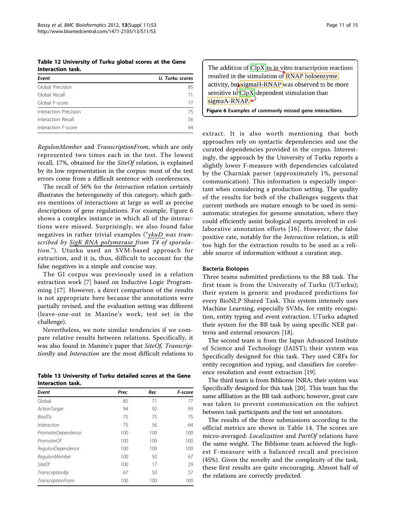<span id="page-10-0"></span>Table 12 University of Turku global scores at the Gene Interaction task.

| Event                 | U. Turku scores |
|-----------------------|-----------------|
| Global Precision      | 85              |
| Global Recall         | 71              |
| Global F-score        | 77              |
| Interaction Precision | 75              |
| Interaction Recall    | 56              |
| Interaction E-score   | 64              |

RegulonMember and TranscriptionFrom, which are only represented two times each in the test. The lowest recall, 17%, obtained for the SiteOf relation, is explained by its low representation in the corpus: most of the test errors come from a difficult sentence with coreferences.

The recall of 56% for the Interaction relation certainly illustrates the heterogeneity of this category, which gathers mentions of interactions at large as well as precise descriptions of gene regulations. For example, Figure 6 shows a complex instance in which all of the interactions were missed. Surprisingly, we also found false negatives in rather trivial examples ("ykuD was transcribed by SigK RNA polymerase from T4 of sporulation."). Uturku used an SVM-based approach for extraction, and it is, thus, difficult to account for the false negatives in a simple and concise way.

The GI corpus was previously used in a relation extraction work [[7\]](#page-13-0) based on Inductive Logic Programming [[17\]](#page-14-0). However, a direct comparison of the results is not appropriate here because the annotations were partially revised, and the evaluation setting was different (leave-one-out in Manine's work, test set in the challenge).

Nevertheless, we note similar tendencies if we compare relative results between relations. Specifically, it was also found in Manine's paper that *SiteOf, Transcrip*tionBy and Interaction are the most difficult relations to

Table 13 University of Turku detailed scores at the Gene Interaction task.

| Event              | Prec. | Rec. | F-score |
|--------------------|-------|------|---------|
| Global             | 85    | 71   | 77      |
| ActionTarget       | 94    | 92   | 93      |
| BindTo             | 75    | 75   | 75      |
| Interaction        | 75    | 56   | 64      |
| PromoterDependence | 100   | 100  | 100     |
| PromoterOf         | 100   | 100  | 100     |
| RequlonDependence  | 100   | 100  | 100     |
| RegulonMember      | 100   | 50   | 67      |
| SiteOf             | 100   | 17   | 29      |
| TranscriptionBy    | 67    | 50   | 57      |
| TranscriptionFrom  | 100   | 100  | 100     |
|                    |       |      |         |

| The addition of $ClpX$ to in vitro transcription reactions |
|------------------------------------------------------------|
| resulted in the stimulation of RNAP holoenzyme             |
| activity, but sigmaH-RNAP was observed to be more          |
| sensitive to $ClpX$ -dependent stimulation than            |
| sigmaA-RNAP.                                               |
| Figure 6 Examples of commonly missed gene interactions.    |

extract. It is also worth mentioning that both approaches rely on syntactic dependencies and use the curated dependencies provided in the corpus. Interestingly, the approach by the University of Turku reports a slightly lower F-measure with dependencies calculated by the Charniak parser (approximately 1%, personal communication). This information is especially important when considering a production setting. The quality of the results for both of the challenges suggests that current methods are mature enough to be used in semiautomatic strategies for genome annotation, where they could efficiently assist biological experts involved in collaborative annotation efforts [[16\]](#page-14-0). However, the false positive rate, notably for the Interaction relation, is still too high for the extraction results to be used as a reliable source of information without a curation step.

#### Bacteria Biotopes

Three teams submitted predictions to the BB task. The first team is from the University of Turku (UTurku); their system is generic and produced predictions for every BioNLP Shared Task. This system intensely uses Machine Learning, especially SVMs, for entity recognition, entity typing and event extraction. UTurku adapted their system for the BB task by using specific NER patterns and external resources [\[18\]](#page-14-0).

The second team is from the Japan Advanced Institute of Science and Technology (JAIST); their system was Specifically designed for this task. They used CRFs for entity recognition and typing, and classifiers for coreference resolution and event extraction [\[19\]](#page-14-0).

The third team is from Bibliome INRA; their system was Specifically designed for this task [[20\]](#page-14-0). This team has the same affiliation as the BB task authors; however, great care was taken to prevent communication on the subject between task participants and the test set annotators.

The results of the three submissions according to the official metrics are shown in Table [14.](#page-11-0) The scores are micro-averaged: Localization and PartOf relations have the same weight. The Bibliome team achieved the highest F-measure with a balanced recall and precision (45%). Given the novelty and the complexity of the task, these first results are quite encouraging. Almost half of the relations are correctly predicted.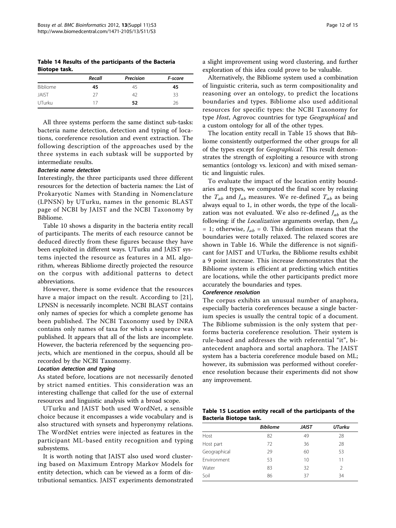<span id="page-11-0"></span>Table 14 Results of the participants of the Bacteria Biotope task.

|          | Recall | <b>Precision</b> | F-score |
|----------|--------|------------------|---------|
| Bibliome | 45     | 45               | 45      |
| JAIST    | -27    | 42               | 33      |
| UTurku   | 17     | 52               | 26      |

All three systems perform the same distinct sub-tasks: bacteria name detection, detection and typing of locations, coreference resolution and event extraction. The following description of the approaches used by the three systems in each subtask will be supported by intermediate results.

#### Bacteria name detection

Interestingly, the three participants used three different resources for the detection of bacteria names: the List of Prokaryotic Names with Standing in Nomenclature (LPNSN) by UTurku, names in the genomic BLAST page of NCBI by JAIST and the NCBI Taxonomy by Bibliome.

Table [10](#page-9-0) shows a disparity in the bacteria entity recall of participants. The merits of each resource cannot be deduced directly from these figures because they have been exploited in different ways. UTurku and JAIST systems injected the resource as features in a ML algorithm, whereas Bibliome directly projected the resource on the corpus with additional patterns to detect abbreviations.

However, there is some evidence that the resources have a major impact on the result. According to [[21\]](#page-14-0), LPNSN is necessarily incomplete. NCBI BLAST contains only names of species for which a complete genome has been published. The NCBI Taxonomy used by INRA contains only names of taxa for which a sequence was published. It appears that all of the lists are incomplete. However, the bacteria referenced by the sequencing projects, which are mentioned in the corpus, should all be recorded by the NCBI Taxonomy.

## Location detection and typing

As stated before, locations are not necessarily denoted by strict named entities. This consideration was an interesting challenge that called for the use of external resources and linguistic analysis with a broad scope.

UTurku and JAIST both used WordNet, a sensible choice because it encompasses a wide vocabulary and is also structured with synsets and hyperonymy relations. The WordNet entries were injected as features in the participant ML-based entity recognition and typing subsystems.

It is worth noting that JAIST also used word clustering based on Maximum Entropy Markov Models for entity detection, which can be viewed as a form of distributional semantics. JAIST experiments demonstrated a slight improvement using word clustering, and further exploration of this idea could prove to be valuable.

Alternatively, the Bibliome system used a combination of linguistic criteria, such as term compositionality and reasoning over an ontology, to predict the locations boundaries and types. Bibliome also used additional resources for specific types: the NCBI Taxonomy for type Host, Agrovoc countries for type Geographical and a custom ontology for all of the other types.

The location entity recall in Table 15 shows that Bibliome consistently outperformed the other groups for all of the types except for Geographical. This result demonstrates the strength of exploiting a resource with strong semantics (ontology vs. lexicon) and with mixed semantic and linguistic rules.

To evaluate the impact of the location entity boundaries and types, we computed the final score by relaxing the  $T_{ab}$  and  $J_{ab}$  measures. We re-defined  $T_{ab}$  as being always equal to 1, in other words, the type of the localization was not evaluated. We also re-defined  $J_{ab}$  as the following: if the *Localization* arguments overlap, then  $J_{ab}$ = 1; otherwise,  $J_{ab}$  = 0. This definition means that the boundaries were totally relaxed. The relaxed scores are shown in Table [16.](#page-12-0) While the difference is not significant for JAIST and UTurku, the Bibliome results exhibit a 9 point increase. This increase demonstrates that the Bibliome system is efficient at predicting which entities are locations, while the other participants predict more accurately the boundaries and types.

## Coreference resolution

The corpus exhibits an unusual number of anaphora, especially bacteria coreferences because a single bacterium species is usually the central topic of a document. The Bibliome submission is the only system that performs bacteria coreference resolution. Their system is rule-based and addresses the with referential "it", biantecedent anaphora and sortal anaphora. The JAIST system has a bacteria coreference module based on ML; however, its submission was performed without coreference resolution because their experiments did not show any improvement.

Table 15 Location entity recall of the participants of the Bacteria Biotope task.

|              | <b>Bibliome</b> | <b>JAIST</b> | <b>UTurku</b> |
|--------------|-----------------|--------------|---------------|
| Host         | 82              | 49           | 28            |
| Host part    | 72              | 36           | 28            |
| Geographical | 29              | 60           | 53            |
| Environment  | 53              | 10           | 11            |
| Water        | 83              | 32           | 2             |
| Soil         | 86              | 37           | 34            |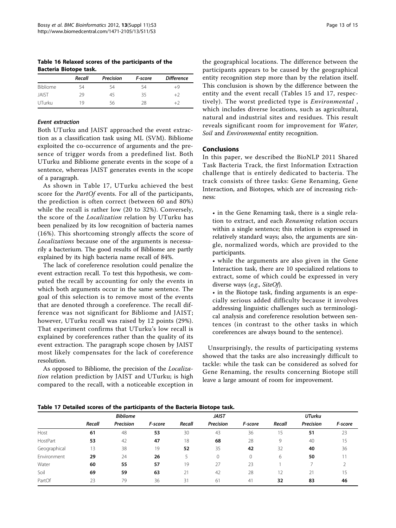<span id="page-12-0"></span>Table 16 Relaxed scores of the participants of the Bacteria Biotope task.

|          | Recall | <b>Precision</b> | F-score | <b>Difference</b> |
|----------|--------|------------------|---------|-------------------|
| Bibliome | 54     | 54               | 54      | +9                |
| JAIST    | 29     | 45               | 35      | +2                |
| UTurku   | 19     | 56               | 28      | +2                |

## Event extraction

Both UTurku and JAIST approached the event extraction as a classification task using ML (SVM). Bibliome exploited the co-occurrence of arguments and the presence of trigger words from a predefined list. Both UTurku and Bibliome generate events in the scope of a sentence, whereas JAIST generates events in the scope of a paragraph.

As shown in Table 17, UTurku achieved the best score for the PartOf events. For all of the participants, the prediction is often correct (between 60 and 80%) while the recall is rather low (20 to 32%). Conversely, the score of the Localization relation by UTurku has been penalized by its low recognition of bacteria names (16%). This shortcoming strongly affects the score of Localizations because one of the arguments is necessarily a bacterium. The good results of Bibliome are partly explained by its high bacteria name recall of 84%.

The lack of coreference resolution could penalize the event extraction recall. To test this hypothesis, we computed the recall by accounting for only the events in which both arguments occur in the same sentence. The goal of this selection is to remove most of the events that are denoted through a coreference. The recall difference was not significant for Bibliome and JAIST; however, UTurku recall was raised by 12 points (29%). That experiment confirms that UTurku's low recall is explained by coreferences rather than the quality of its event extraction. The paragraph scope chosen by JAIST most likely compensates for the lack of coreference resolution.

As opposed to Bibliome, the precision of the Localization relation prediction by JAIST and UTurku; is high compared to the recall, with a noticeable exception in

the geographical locations. The difference between the participants appears to be caused by the geographical entity recognition step more than by the relation itself. This conclusion is shown by the difference between the entity and the event recall (Tables [15](#page-11-0) and 17, respectively). The worst predicted type is Environmental , which includes diverse locations, such as agricultural, natural and industrial sites and residues. This result reveals significant room for improvement for Water,

## Conclusions

In this paper, we described the BioNLP 2011 Shared Task Bacteria Track, the first Information Extraction challenge that is entirely dedicated to bacteria. The track consists of three tasks: Gene Renaming, Gene Interaction, and Biotopes, which are of increasing richness:

Soil and Environmental entity recognition.

• in the Gene Renaming task, there is a single relation to extract, and each Renaming relation occurs within a single sentence; this relation is expressed in relatively standard ways; also, the arguments are single, normalized words, which are provided to the participants.

• while the arguments are also given in the Gene Interaction task, there are 10 specialized relations to extract, some of which could be expressed in very diverse ways (e.g., SiteOf).

• in the Biotope task, finding arguments is an especially serious added difficulty because it involves addressing linguistic challenges such as terminological analysis and coreference resolution between sentences (in contrast to the other tasks in which coreferences are always bound to the sentence).

Unsurprisingly, the results of participating systems showed that the tasks are also increasingly difficult to tackle: while the task can be considered as solved for Gene Renaming, the results concerning Biotope still leave a large amount of room for improvement.

Table 17 Detailed scores of the participants of the Bacteria Biotope task.

|              | <b>Bibliome</b> |           |         | <b>JAIST</b> |           |             | <b>UTurku</b> |                  |         |
|--------------|-----------------|-----------|---------|--------------|-----------|-------------|---------------|------------------|---------|
|              | Recall          | Precision | F-score | Recall       | Precision | F-score     | Recall        | <b>Precision</b> | F-score |
| Host         | 61              | 48        | 53      | 30           | 43        | 36          | 15            | 51               | 23      |
| HostPart     | 53              | 42        | 47      | 18           | 68        | 28          | 9             | 40               | 15      |
| Geographical | 13              | 38        | 19      | 52           | 35        | 42          | 32            | 40               | 36      |
| Environment  | 29              | 24        | 26      | 5            | 0         | $\mathbf 0$ | 6             | 50               |         |
| Water        | 60              | 55        | 57      | 19           | 27        | 23          |               |                  |         |
| Soil         | 69              | 59        | 63      | 21           | 42        | 28          | 12            | 21               | 15      |
| PartOf       | 23              | 79        | 36      | 31           | 61        | 41          | 32            | 83               | 46      |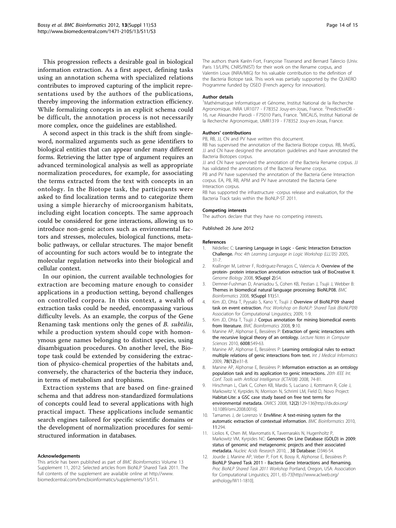<span id="page-13-0"></span>This progression reflects a desirable goal in biological information extraction. As a first aspect, defining tasks using an annotation schema with specialized relations contributes to improved capturing of the implicit representations used by the authors of the publications, thereby improving the information extraction efficiency. While formalizing concepts in an explicit schema could be difficult, the annotation process is not necessarily more complex, once the guidelines are established.

A second aspect in this track is the shift from singleword, normalized arguments such as gene identifiers to biological entities that can appear under many different forms. Retrieving the latter type of argument requires an advanced terminological analysis as well as appropriate normalization procedures, for example, for associating the terms extracted from the text with concepts in an ontology. In the Biotope task, the participants were asked to find localization terms and to categorize them using a simple hierarchy of microorganism habitats, including eight location concepts. The same approach could be considered for gene interactions, allowing us to introduce non-genic actors such as environmental factors and stresses, molecules, biological functions, metabolic pathways, or cellular structures. The major benefit of accounting for such actors would be to integrate the molecular regulation networks into their biological and cellular context.

In our opinion, the current available technologies for extraction are becoming mature enough to consider applications in a production setting, beyond challenges on controlled corpora. In this context, a wealth of extraction tasks could be needed, encompassing various difficulty levels. As an example, the corpus of the Gene Renaming task mentions only the genes of B. subtilis, while a production system should cope with homonymous gene names belonging to distinct species, using disambiguation procedures. On another level, the Biotope task could be extended by considering the extraction of physico-chemical properties of the habitats and, conversely, the characterics of the bacteria they induce, in terms of metabolism and trophisms.

Extraction systems that are based on fine-grained schema and that address non-standardized formulations of concepts could lead to several applications with high practical impact. These applications include semantic search engines tailored for specific scientific domains or the development of normalization procedures for semistructured information in databases.

#### Acknowledgements

This article has been published as part of BMC Bioinformatics Volume 13 Supplement 11, 2012: Selected articles from BioNLP Shared Task 2011. The full contents of the supplement are available online at [http://www.](http://www.biomedcentral.com/bmcbioinformatics/supplements/13/S11) [biomedcentral.com/bmcbioinformatics/supplements/13/S11](http://www.biomedcentral.com/bmcbioinformatics/supplements/13/S11).

The authors thank Karën Fort, Françoise Tisserand and Bernard Talercio (Univ. Paris 13/LIPN, CNRS/INIST) for their work on the Rename corpus, and Valentin Loux (INRA/MIG) for his valuable contribution to the definition of the Bacteria Biotope task. This work was partially supported by the QUAERO Programme funded by OSEO (French agency for innovation).

#### Author details

<sup>1</sup>Mathématique Informatique et Génome, Institut National de la Recherche Agronomique, INRA UR1077 - F78352 Jouy-en-Josas, France. <sup>2</sup>PredictiveDB -16, rue Alexandre Parodi - F75010 Paris, France. <sup>3</sup>MICALIS, Institut National de la Recherche Agronomique, UMR1319 - F78352 Jouy-en-Josas, France.

#### Authors' contributions

PB, RB, JJ, CN and PV have written this document.

RB has supervised the annotation of the Bacteria Biotope corpus. RB, MvdG, JJ and CN have designed the annotation guidelines and have annotated the Bacteria Biotopes corpus.

JJ and CN have supervised the annotation of the Bacteria Rename corpus. JJ has validated the annotations of the Bacteria Rename corpus.

PB and PV have supervised the annotation of the Bacteria Gene Interaction corpus. EA, PB, RB, APM and PV have annotated the Bacteria Gene

Interaction corpus. RB has supported the infrastructure -corpus release and evaluation, for the

Bacteria Track tasks within the BioNLP-ST 2011.

#### Competing interests

The authors declare that they have no competing interests.

#### Published: 26 June 2012

#### References

- 1. Nédellec C: Learning Language in Logic Genic Interaction Extraction Challenge. Proc 4th Learning Language in Logic Workshop (LLL'05) 2005, 31-7.
- 2. Krallinger M, Leitner F, Rodriguez-Penagos C, Valencia A: [Overview of the](http://www.ncbi.nlm.nih.gov/pubmed/18834495?dopt=Abstract) [protein- protein interaction annotation extraction task of BioCreative II.](http://www.ncbi.nlm.nih.gov/pubmed/18834495?dopt=Abstract) Genome Biology 2008, 9(Suppl 2):S4.
- 3. Demner-Fushman D, Ananiadou S, Cohen KB, Pestian J, Tsujii J, Webber B: [Themes in biomedical natural language processing: BioNLP08.](http://www.ncbi.nlm.nih.gov/pubmed/19091008?dopt=Abstract) BMC Bioinformatics 2008, 9(Suppl 11):S1.
- 4. Kim JD, Ohta T, Pyysalo S, Kano Y, Tsujii J: Overview of BioNLP'09 shared task on event extraction. Proc Workshop on BioNLP: Shared Task (BioNLP'09) Association for Computational Linguistics; 2009, 1-9.
- 5. Kim JD, Ohta T, Tsujii J: [Corpus annotation for mining biomedical events](http://www.ncbi.nlm.nih.gov/pubmed/18182099?dopt=Abstract) [from literature.](http://www.ncbi.nlm.nih.gov/pubmed/18182099?dopt=Abstract) BMC Bioinformatics 2008, 9:10.
- 6. Manine AP, Alphonse E, Bessières P: Extraction of genic interactions with the recursive logical theory of an ontology. Lecture Notes in Compute. Sciences 2010, 6008:549-63.
- 7. Manine AP, Alphonse E, Bessières P: Learning ontological rules to extract multiple relations of genic interactions from text. Int J Medical Informatics 2009, 78(12):e31-8.
- 8. Manine AP, Alphonse E, Bessières P: Information extraction as an ontology population task and its application to genic interactions. 20th IEEE Int. Conf. Tools with Artificial Intelligence (ICTAI'08) 2008, 74-81.
- Hirschman L, Clark C, Cohen KB, Mardis S, Luciano J, Kottmann R, Cole J, Markowitz V, Kyrpides N, Morrison N, Schriml LM, Field D, Novo Project: [Habitat-Lite: a GSC case study based on free text terms for](http://www.ncbi.nlm.nih.gov/pubmed/18416669?dopt=Abstract) [environmental metadata.](http://www.ncbi.nlm.nih.gov/pubmed/18416669?dopt=Abstract) OMICS 2008, 12(2):129-136[\[http://dx.doi.org/](http://dx.doi.org/10.1089/omi.2008.0016) [10.1089/omi.2008.0016](http://dx.doi.org/10.1089/omi.2008.0016)].
- 10. Tamames J, de Lorenzo V: [EnvMine: A text-mining system for the](http://www.ncbi.nlm.nih.gov/pubmed/20515448?dopt=Abstract) [automatic extraction of contextual information.](http://www.ncbi.nlm.nih.gov/pubmed/20515448?dopt=Abstract) BMC Bioinformatics 2010, 11:294.
- 11. Liolios K, Chen IM, Mavromatis K, Tavernarakis N, Hugenholtz P Markowitz VM, Kyrpides NC: Genomes On Line Database (GOLD) in 2009: status of genomic and metagenomic projects and their associated metadata. Nucleic Acids Research 2010, , 38 Database: D346-54.
- 12. Jourde J, Manine AP, Veber P, Fort K, Bossy R, Alphonse E, Bessières P: BioNLP Shared Task 2011 - Bacteria Gene Interactions and Renaming. Proc BioNLP Shared Task 2011 Workshop Portland, Oregon, USA: Association for Computational Linguistics; 2011, 65-73[[http://www.aclweb.org/](http://www.aclweb.org/anthology/W11-1810) [anthology/W11-1810](http://www.aclweb.org/anthology/W11-1810)].